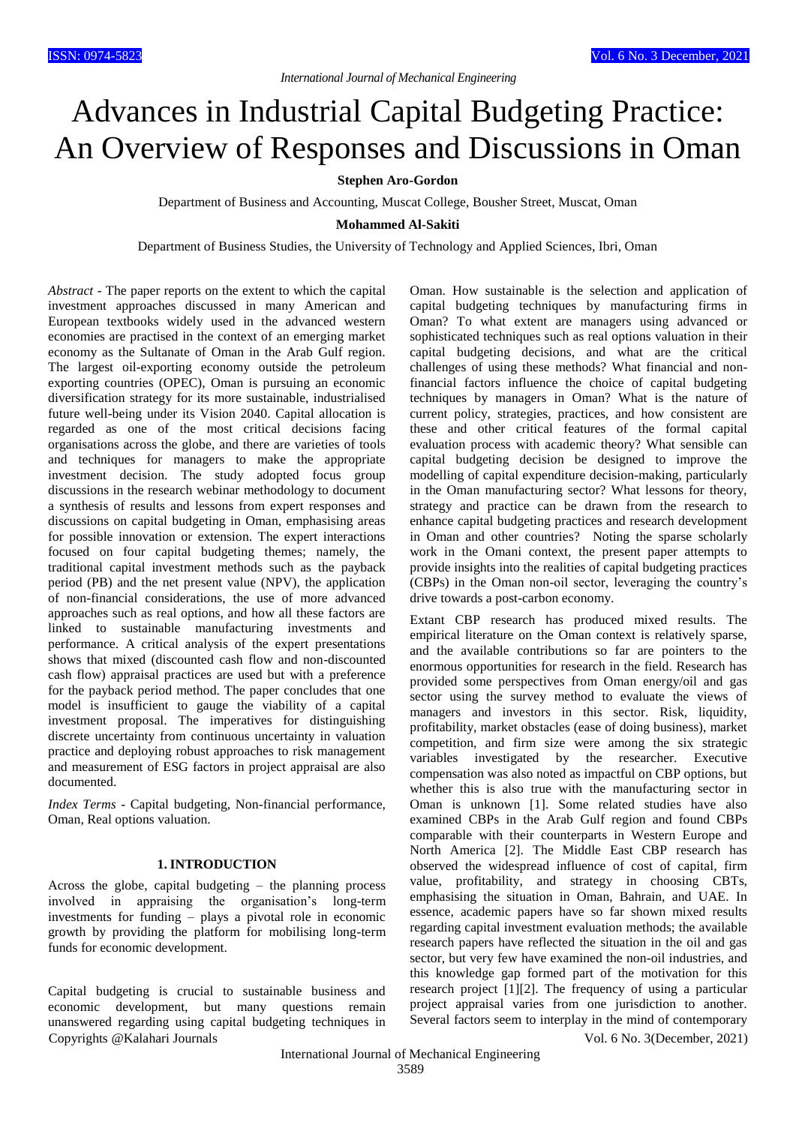# Advances in Industrial Capital Budgeting Practice: An Overview of Responses and Discussions in Oman

# **Stephen Aro-Gordon**

Department of Business and Accounting, Muscat College, Bousher Street, Muscat, Oman

**Mohammed Al-Sakiti**

Department of Business Studies, the University of Technology and Applied Sciences, Ibri, Oman

*Abstract* - The paper reports on the extent to which the capital investment approaches discussed in many American and European textbooks widely used in the advanced western economies are practised in the context of an emerging market economy as the Sultanate of Oman in the Arab Gulf region. The largest oil-exporting economy outside the petroleum exporting countries (OPEC), Oman is pursuing an economic diversification strategy for its more sustainable, industrialised future well-being under its Vision 2040. Capital allocation is regarded as one of the most critical decisions facing organisations across the globe, and there are varieties of tools and techniques for managers to make the appropriate investment decision. The study adopted focus group discussions in the research webinar methodology to document a synthesis of results and lessons from expert responses and discussions on capital budgeting in Oman, emphasising areas for possible innovation or extension. The expert interactions focused on four capital budgeting themes; namely, the traditional capital investment methods such as the payback period (PB) and the net present value (NPV), the application of non-financial considerations, the use of more advanced approaches such as real options, and how all these factors are linked to sustainable manufacturing investments and performance. A critical analysis of the expert presentations shows that mixed (discounted cash flow and non-discounted cash flow) appraisal practices are used but with a preference for the payback period method. The paper concludes that one model is insufficient to gauge the viability of a capital investment proposal. The imperatives for distinguishing discrete uncertainty from continuous uncertainty in valuation practice and deploying robust approaches to risk management and measurement of ESG factors in project appraisal are also documented.

*Index Terms* - Capital budgeting, Non-financial performance, Oman, Real options valuation.

## **1. INTRODUCTION**

Across the globe, capital budgeting – the planning process involved in appraising the organisation's long-term investments for funding – plays a pivotal role in economic growth by providing the platform for mobilising long-term funds for economic development.

Copyrights @Kalahari Journals Vol. 6 No. 3(December, 2021) Capital budgeting is crucial to sustainable business and economic development, but many questions remain unanswered regarding using capital budgeting techniques in

Oman. How sustainable is the selection and application of capital budgeting techniques by manufacturing firms in Oman? To what extent are managers using advanced or sophisticated techniques such as real options valuation in their capital budgeting decisions, and what are the critical challenges of using these methods? What financial and nonfinancial factors influence the choice of capital budgeting techniques by managers in Oman? What is the nature of current policy, strategies, practices, and how consistent are these and other critical features of the formal capital evaluation process with academic theory? What sensible can capital budgeting decision be designed to improve the modelling of capital expenditure decision-making, particularly in the Oman manufacturing sector? What lessons for theory, strategy and practice can be drawn from the research to enhance capital budgeting practices and research development in Oman and other countries? Noting the sparse scholarly work in the Omani context, the present paper attempts to provide insights into the realities of capital budgeting practices (CBPs) in the Oman non-oil sector, leveraging the country's drive towards a post-carbon economy.

Extant CBP research has produced mixed results. The empirical literature on the Oman context is relatively sparse, and the available contributions so far are pointers to the enormous opportunities for research in the field. Research has provided some perspectives from Oman energy/oil and gas sector using the survey method to evaluate the views of managers and investors in this sector. Risk, liquidity, profitability, market obstacles (ease of doing business), market competition, and firm size were among the six strategic variables investigated by the researcher. Executive compensation was also noted as impactful on CBP options, but whether this is also true with the manufacturing sector in Oman is unknown [1]. Some related studies have also examined CBPs in the Arab Gulf region and found CBPs comparable with their counterparts in Western Europe and North America [2]. The Middle East CBP research has observed the widespread influence of cost of capital, firm value, profitability, and strategy in choosing CBTs, emphasising the situation in Oman, Bahrain, and UAE. In essence, academic papers have so far shown mixed results regarding capital investment evaluation methods; the available research papers have reflected the situation in the oil and gas sector, but very few have examined the non-oil industries, and this knowledge gap formed part of the motivation for this research project [1][2]. The frequency of using a particular project appraisal varies from one jurisdiction to another. Several factors seem to interplay in the mind of contemporary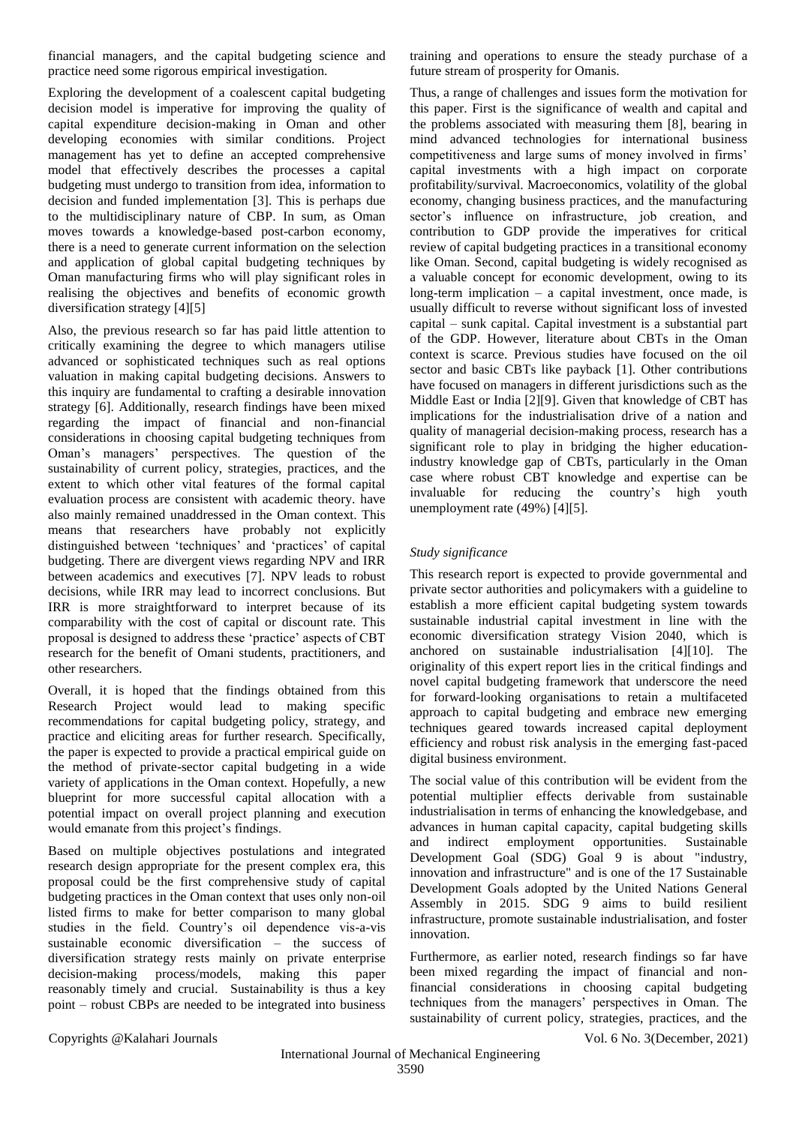financial managers, and the capital budgeting science and practice need some rigorous empirical investigation.

Exploring the development of a coalescent capital budgeting decision model is imperative for improving the quality of capital expenditure decision-making in Oman and other developing economies with similar conditions. Project management has yet to define an accepted comprehensive model that effectively describes the processes a capital budgeting must undergo to transition from idea, information to decision and funded implementation [3]. This is perhaps due to the multidisciplinary nature of CBP. In sum, as Oman moves towards a knowledge-based post-carbon economy, there is a need to generate current information on the selection and application of global capital budgeting techniques by Oman manufacturing firms who will play significant roles in realising the objectives and benefits of economic growth diversification strategy [4][5]

Also, the previous research so far has paid little attention to critically examining the degree to which managers utilise advanced or sophisticated techniques such as real options valuation in making capital budgeting decisions. Answers to this inquiry are fundamental to crafting a desirable innovation strategy [6]. Additionally, research findings have been mixed regarding the impact of financial and non-financial considerations in choosing capital budgeting techniques from Oman's managers' perspectives. The question of the sustainability of current policy, strategies, practices, and the extent to which other vital features of the formal capital evaluation process are consistent with academic theory. have also mainly remained unaddressed in the Oman context. This means that researchers have probably not explicitly distinguished between 'techniques' and 'practices' of capital budgeting. There are divergent views regarding NPV and IRR between academics and executives [7]. NPV leads to robust decisions, while IRR may lead to incorrect conclusions. But IRR is more straightforward to interpret because of its comparability with the cost of capital or discount rate. This proposal is designed to address these 'practice' aspects of CBT research for the benefit of Omani students, practitioners, and other researchers.

Overall, it is hoped that the findings obtained from this Research Project would lead to making specific recommendations for capital budgeting policy, strategy, and practice and eliciting areas for further research. Specifically, the paper is expected to provide a practical empirical guide on the method of private-sector capital budgeting in a wide variety of applications in the Oman context. Hopefully, a new blueprint for more successful capital allocation with a potential impact on overall project planning and execution would emanate from this project's findings.

Based on multiple objectives postulations and integrated research design appropriate for the present complex era, this proposal could be the first comprehensive study of capital budgeting practices in the Oman context that uses only non-oil listed firms to make for better comparison to many global studies in the field. Country's oil dependence vis-a-vis sustainable economic diversification – the success of diversification strategy rests mainly on private enterprise decision-making process/models, making this paper reasonably timely and crucial. Sustainability is thus a key point – robust CBPs are needed to be integrated into business

training and operations to ensure the steady purchase of a future stream of prosperity for Omanis.

Thus, a range of challenges and issues form the motivation for this paper. First is the significance of wealth and capital and the problems associated with measuring them [8], bearing in mind advanced technologies for international business competitiveness and large sums of money involved in firms' capital investments with a high impact on corporate profitability/survival. Macroeconomics, volatility of the global economy, changing business practices, and the manufacturing sector's influence on infrastructure, job creation, and contribution to GDP provide the imperatives for critical review of capital budgeting practices in a transitional economy like Oman. Second, capital budgeting is widely recognised as a valuable concept for economic development, owing to its long-term implication – a capital investment, once made, is usually difficult to reverse without significant loss of invested capital – sunk capital. Capital investment is a substantial part of the GDP. However, literature about CBTs in the Oman context is scarce. Previous studies have focused on the oil sector and basic CBTs like payback [1]. Other contributions have focused on managers in different jurisdictions such as the Middle East or India [2][9]. Given that knowledge of CBT has implications for the industrialisation drive of a nation and quality of managerial decision-making process, research has a significant role to play in bridging the higher educationindustry knowledge gap of CBTs, particularly in the Oman case where robust CBT knowledge and expertise can be invaluable for reducing the country's high youth unemployment rate (49%) [4][5].

# *Study significance*

This research report is expected to provide governmental and private sector authorities and policymakers with a guideline to establish a more efficient capital budgeting system towards sustainable industrial capital investment in line with the economic diversification strategy Vision 2040, which is anchored on sustainable industrialisation [4][10]. The originality of this expert report lies in the critical findings and novel capital budgeting framework that underscore the need for forward-looking organisations to retain a multifaceted approach to capital budgeting and embrace new emerging techniques geared towards increased capital deployment efficiency and robust risk analysis in the emerging fast-paced digital business environment.

The social value of this contribution will be evident from the potential multiplier effects derivable from sustainable industrialisation in terms of enhancing the knowledgebase, and advances in human capital capacity, capital budgeting skills and indirect employment opportunities. Sustainable Development Goal (SDG) Goal 9 is about "industry, innovation and infrastructure" and is one of the 17 Sustainable Development Goals adopted by the United Nations General Assembly in 2015. SDG 9 aims to build resilient infrastructure, promote sustainable industrialisation, and foster innovation.

Furthermore, as earlier noted, research findings so far have been mixed regarding the impact of financial and nonfinancial considerations in choosing capital budgeting techniques from the managers' perspectives in Oman. The sustainability of current policy, strategies, practices, and the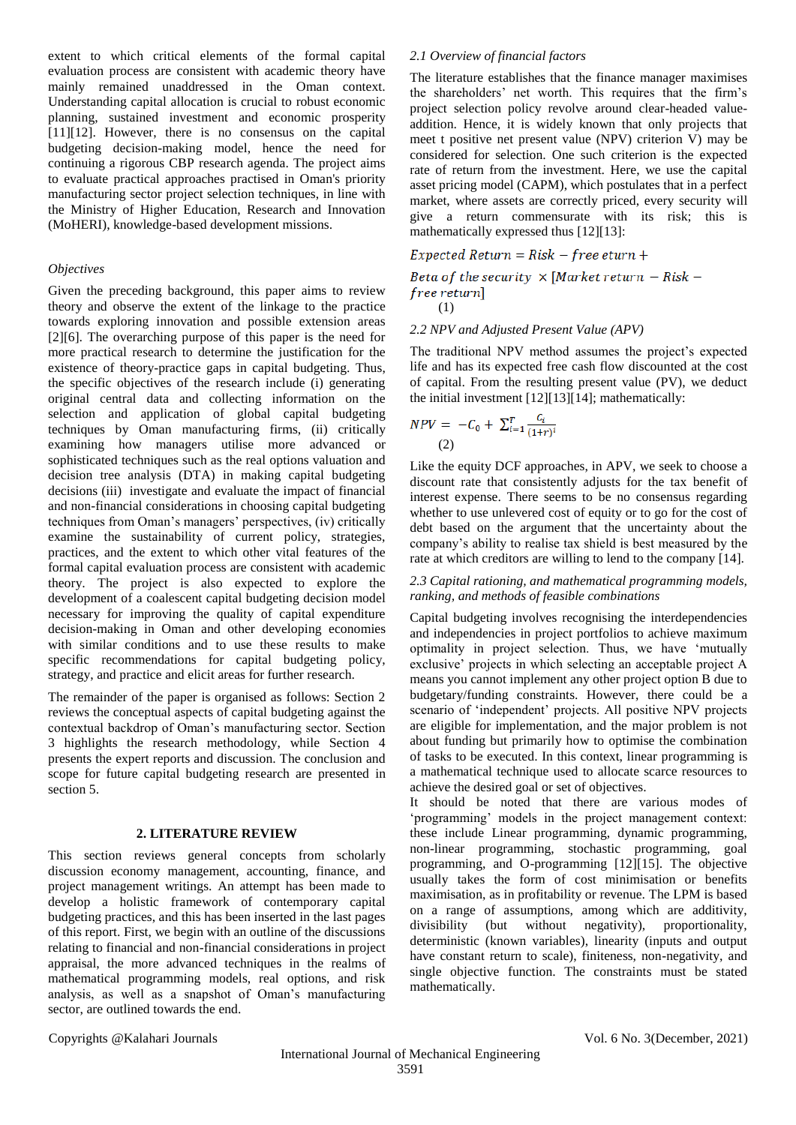extent to which critical elements of the formal capital evaluation process are consistent with academic theory have mainly remained unaddressed in the Oman context. Understanding capital allocation is crucial to robust economic planning, sustained investment and economic prosperity [11][12]. However, there is no consensus on the capital budgeting decision-making model, hence the need for continuing a rigorous CBP research agenda. The project aims to evaluate practical approaches practised in Oman's priority manufacturing sector project selection techniques, in line with the Ministry of Higher Education, Research and Innovation (MoHERI), knowledge-based development missions.

## *Objectives*

Given the preceding background, this paper aims to review theory and observe the extent of the linkage to the practice towards exploring innovation and possible extension areas [2][6]. The overarching purpose of this paper is the need for more practical research to determine the justification for the existence of theory-practice gaps in capital budgeting. Thus, the specific objectives of the research include (i) generating original central data and collecting information on the selection and application of global capital budgeting techniques by Oman manufacturing firms, (ii) critically examining how managers utilise more advanced or sophisticated techniques such as the real options valuation and decision tree analysis (DTA) in making capital budgeting decisions (iii) investigate and evaluate the impact of financial and non-financial considerations in choosing capital budgeting techniques from Oman's managers' perspectives, (iv) critically examine the sustainability of current policy, strategies, practices, and the extent to which other vital features of the formal capital evaluation process are consistent with academic theory. The project is also expected to explore the development of a coalescent capital budgeting decision model necessary for improving the quality of capital expenditure decision-making in Oman and other developing economies with similar conditions and to use these results to make specific recommendations for capital budgeting policy, strategy, and practice and elicit areas for further research.

The remainder of the paper is organised as follows: Section 2 reviews the conceptual aspects of capital budgeting against the contextual backdrop of Oman's manufacturing sector. Section 3 highlights the research methodology, while Section 4 presents the expert reports and discussion. The conclusion and scope for future capital budgeting research are presented in section 5.

#### **2. LITERATURE REVIEW**

This section reviews general concepts from scholarly discussion economy management, accounting, finance, and project management writings. An attempt has been made to develop a holistic framework of contemporary capital budgeting practices, and this has been inserted in the last pages of this report. First, we begin with an outline of the discussions relating to financial and non-financial considerations in project appraisal, the more advanced techniques in the realms of mathematical programming models, real options, and risk analysis, as well as a snapshot of Oman's manufacturing sector, are outlined towards the end.

## *2.1 Overview of financial factors*

The literature establishes that the finance manager maximises the shareholders' net worth. This requires that the firm's project selection policy revolve around clear-headed valueaddition. Hence, it is widely known that only projects that meet t positive net present value (NPV) criterion V) may be considered for selection. One such criterion is the expected rate of return from the investment. Here, we use the capital asset pricing model (CAPM), which postulates that in a perfect market, where assets are correctly priced, every security will give a return commensurate with its risk; this is mathematically expressed thus [12][13]:

#### $Expected Return = Risk - free eturn +$

Beta of the security  $\times$  [Market return – Risk – free return (1)

## *2.2 NPV and Adjusted Present Value (APV)*

The traditional NPV method assumes the project's expected life and has its expected free cash flow discounted at the cost of capital. From the resulting present value (PV), we deduct the initial investment [12][13][14]; mathematically:

$$
NPV = -C_0 + \sum_{i=1}^{T} \frac{c_i}{(1+r)^i}
$$
  
(2)

Like the equity DCF approaches, in APV, we seek to choose a discount rate that consistently adjusts for the tax benefit of interest expense. There seems to be no consensus regarding whether to use unlevered cost of equity or to go for the cost of debt based on the argument that the uncertainty about the company's ability to realise tax shield is best measured by the rate at which creditors are willing to lend to the company [14].

## *2.3 Capital rationing, and mathematical programming models, ranking, and methods of feasible combinations*

Capital budgeting involves recognising the interdependencies and independencies in project portfolios to achieve maximum optimality in project selection. Thus, we have 'mutually exclusive' projects in which selecting an acceptable project A means you cannot implement any other project option B due to budgetary/funding constraints. However, there could be a scenario of 'independent' projects. All positive NPV projects are eligible for implementation, and the major problem is not about funding but primarily how to optimise the combination of tasks to be executed. In this context, linear programming is a mathematical technique used to allocate scarce resources to achieve the desired goal or set of objectives.

It should be noted that there are various modes of 'programming' models in the project management context: these include Linear programming, dynamic programming, non-linear programming, stochastic programming, goal programming, and O-programming [12][15]. The objective usually takes the form of cost minimisation or benefits maximisation, as in profitability or revenue. The LPM is based on a range of assumptions, among which are additivity, divisibility (but without negativity), proportionality, deterministic (known variables), linearity (inputs and output have constant return to scale), finiteness, non-negativity, and single objective function. The constraints must be stated mathematically.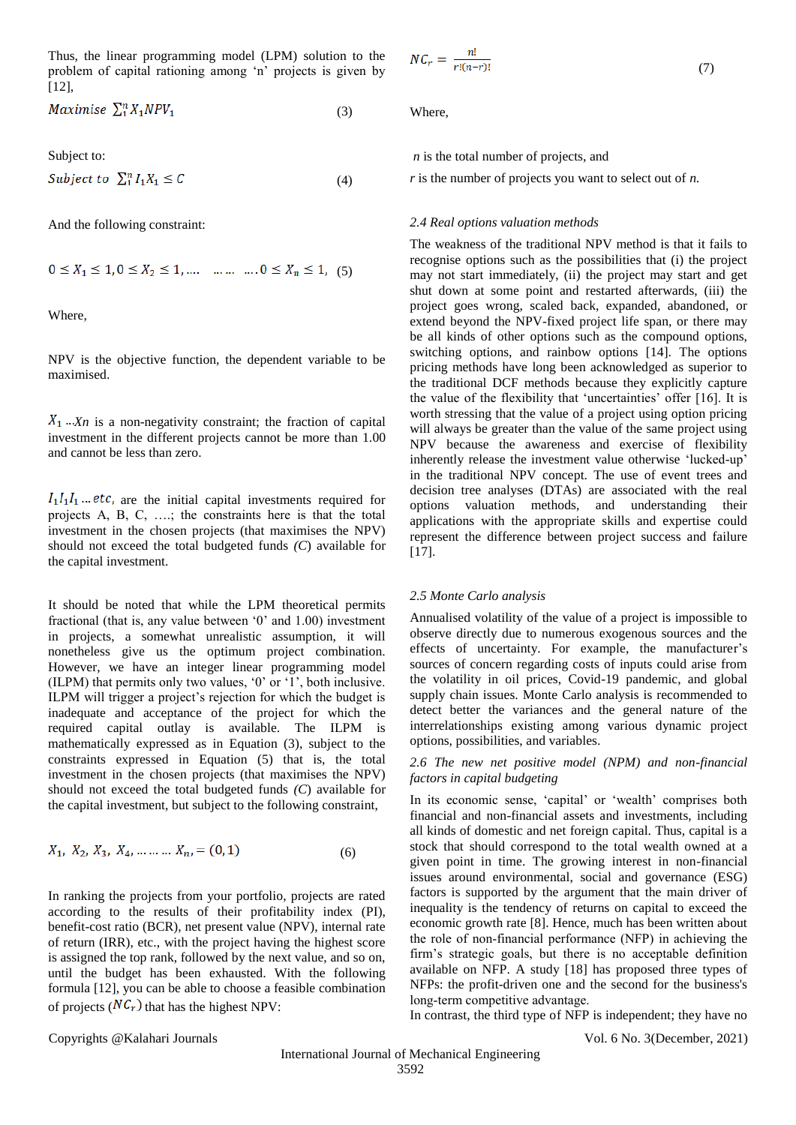Thus, the linear programming model (LPM) solution to the problem of capital rationing among 'n' projects is given by [12],

$$
Maximise \sum_{1}^{n} X_{1} NPV_{1} \tag{3}
$$

Subject to:

$$
Subject\ to\ \sum_{1}^{n} I_1 X_1 \leq C \tag{4}
$$

And the following constraint:

$$
0 \le X_1 \le 1, 0 \le X_2 \le 1, \dots \dots \dots \dots 0 \le X_n \le 1, (5)
$$

Where,

NPV is the objective function, the dependent variable to be maximised.

 $X_1 \ldots X_n$  is a non-negativity constraint; the fraction of capital investment in the different projects cannot be more than 1.00 and cannot be less than zero.

 $I_1I_1I_1...$  etc, are the initial capital investments required for projects A, B, C, ….; the constraints here is that the total investment in the chosen projects (that maximises the NPV) should not exceed the total budgeted funds *(C*) available for the capital investment.

It should be noted that while the LPM theoretical permits fractional (that is, any value between '0' and 1.00) investment in projects, a somewhat unrealistic assumption, it will nonetheless give us the optimum project combination. However, we have an integer linear programming model (ILPM) that permits only two values, '0' or '1', both inclusive. ILPM will trigger a project's rejection for which the budget is inadequate and acceptance of the project for which the required capital outlay is available. The ILPM is mathematically expressed as in Equation (3), subject to the constraints expressed in Equation (5) that is, the total investment in the chosen projects (that maximises the NPV) should not exceed the total budgeted funds *(C*) available for the capital investment, but subject to the following constraint,

$$
X_1, X_2, X_3, X_4, \dots \dots \dots X_n = (0, 1) \tag{6}
$$

In ranking the projects from your portfolio, projects are rated according to the results of their profitability index (PI), benefit-cost ratio (BCR), net present value (NPV), internal rate of return (IRR), etc., with the project having the highest score is assigned the top rank, followed by the next value, and so on, until the budget has been exhausted. With the following formula [12], you can be able to choose a feasible combination of projects  $(NC_r)$  that has the highest NPV:

Where,

 $NC_r = \frac{n!}{r!(n-r)!}$ 

*n* is the total number of projects, and

*r* is the number of projects you want to select out of *n.*

#### *2.4 Real options valuation methods*

The weakness of the traditional NPV method is that it fails to recognise options such as the possibilities that (i) the project may not start immediately, (ii) the project may start and get shut down at some point and restarted afterwards, (iii) the project goes wrong, scaled back, expanded, abandoned, or extend beyond the NPV-fixed project life span, or there may be all kinds of other options such as the compound options, switching options, and rainbow options [14]. The options pricing methods have long been acknowledged as superior to the traditional DCF methods because they explicitly capture the value of the flexibility that 'uncertainties' offer [16]. It is worth stressing that the value of a project using option pricing will always be greater than the value of the same project using NPV because the awareness and exercise of flexibility inherently release the investment value otherwise 'lucked-up' in the traditional NPV concept. The use of event trees and decision tree analyses (DTAs) are associated with the real options valuation methods, and understanding their applications with the appropriate skills and expertise could represent the difference between project success and failure [17].

#### *2.5 Monte Carlo analysis*

Annualised volatility of the value of a project is impossible to observe directly due to numerous exogenous sources and the effects of uncertainty. For example, the manufacturer's sources of concern regarding costs of inputs could arise from the volatility in oil prices, Covid-19 pandemic, and global supply chain issues. Monte Carlo analysis is recommended to detect better the variances and the general nature of the interrelationships existing among various dynamic project options, possibilities, and variables.

## *2.6 The new net positive model (NPM) and non-financial factors in capital budgeting*

In its economic sense, 'capital' or 'wealth' comprises both financial and non-financial assets and investments, including all kinds of domestic and net foreign capital. Thus, capital is a stock that should correspond to the total wealth owned at a given point in time. The growing interest in non-financial issues around environmental, social and governance (ESG) factors is supported by the argument that the main driver of inequality is the tendency of returns on capital to exceed the economic growth rate [8]. Hence, much has been written about the role of non‐financial performance (NFP) in achieving the firm's strategic goals, but there is no acceptable definition available on NFP. A study [18] has proposed three types of NFPs: the profit-driven one and the second for the business's long‐term competitive advantage.

In contrast, the third type of NFP is independent; they have no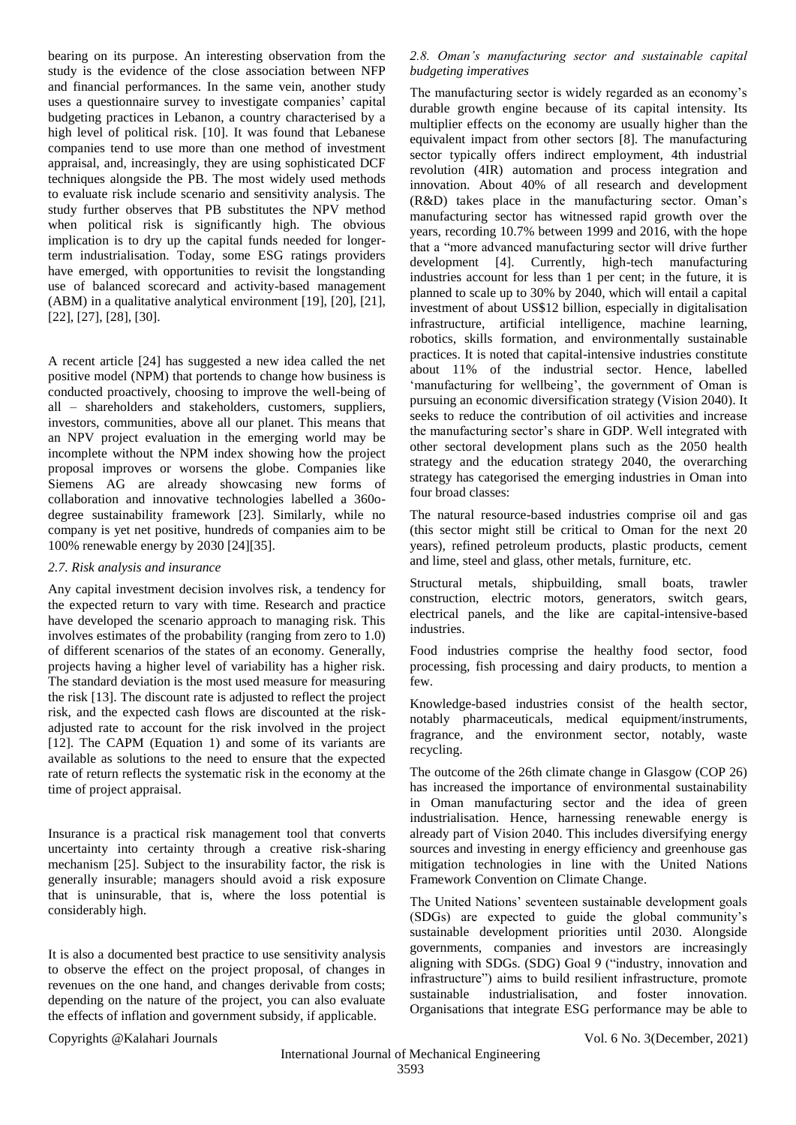bearing on its purpose. An interesting observation from the study is the evidence of the close association between NFP and financial performances. In the same vein, another study uses a questionnaire survey to investigate companies' capital budgeting practices in Lebanon, a country characterised by a high level of political risk. [10]. It was found that Lebanese companies tend to use more than one method of investment appraisal, and, increasingly, they are using sophisticated DCF techniques alongside the PB. The most widely used methods to evaluate risk include scenario and sensitivity analysis. The study further observes that PB substitutes the NPV method when political risk is significantly high. The obvious implication is to dry up the capital funds needed for longerterm industrialisation. Today, some ESG ratings providers have emerged, with opportunities to revisit the longstanding use of balanced scorecard and activity-based management (ABM) in a qualitative analytical environment [19], [20], [21], [22], [27], [28], [30].

A recent article [24] has suggested a new idea called the net positive model (NPM) that portends to change how business is conducted proactively, choosing to improve the well-being of all – shareholders and stakeholders, customers, suppliers, investors, communities, above all our planet. This means that an NPV project evaluation in the emerging world may be incomplete without the NPM index showing how the project proposal improves or worsens the globe. Companies like Siemens AG are already showcasing new forms of collaboration and innovative technologies labelled a 360odegree sustainability framework [23]. Similarly, while no company is yet net positive, hundreds of companies aim to be 100% renewable energy by 2030 [24][35].

# *2.7. Risk analysis and insurance*

Any capital investment decision involves risk, a tendency for the expected return to vary with time. Research and practice have developed the scenario approach to managing risk. This involves estimates of the probability (ranging from zero to 1.0) of different scenarios of the states of an economy. Generally, projects having a higher level of variability has a higher risk. The standard deviation is the most used measure for measuring the risk [13]. The discount rate is adjusted to reflect the project risk, and the expected cash flows are discounted at the riskadjusted rate to account for the risk involved in the project [12]. The CAPM (Equation 1) and some of its variants are available as solutions to the need to ensure that the expected rate of return reflects the systematic risk in the economy at the time of project appraisal.

Insurance is a practical risk management tool that converts uncertainty into certainty through a creative risk-sharing mechanism [25]. Subject to the insurability factor, the risk is generally insurable; managers should avoid a risk exposure that is uninsurable, that is, where the loss potential is considerably high.

It is also a documented best practice to use sensitivity analysis to observe the effect on the project proposal, of changes in revenues on the one hand, and changes derivable from costs; depending on the nature of the project, you can also evaluate the effects of inflation and government subsidy, if applicable.

## *2.8. Oman's manufacturing sector and sustainable capital budgeting imperatives*

The manufacturing sector is widely regarded as an economy's durable growth engine because of its capital intensity. Its multiplier effects on the economy are usually higher than the equivalent impact from other sectors [8]. The manufacturing sector typically offers indirect employment, 4th industrial revolution (4IR) automation and process integration and innovation. About 40% of all research and development (R&D) takes place in the manufacturing sector. Oman's manufacturing sector has witnessed rapid growth over the years, recording 10.7% between 1999 and 2016, with the hope that a "more advanced manufacturing sector will drive further development [4]. Currently, high-tech manufacturing industries account for less than 1 per cent; in the future, it is planned to scale up to 30% by 2040, which will entail a capital investment of about US\$12 billion, especially in digitalisation infrastructure, artificial intelligence, machine learning, robotics, skills formation, and environmentally sustainable practices. It is noted that capital-intensive industries constitute about 11% of the industrial sector. Hence, labelled 'manufacturing for wellbeing', the government of Oman is pursuing an economic diversification strategy (Vision 2040). It seeks to reduce the contribution of oil activities and increase the manufacturing sector's share in GDP. Well integrated with other sectoral development plans such as the 2050 health strategy and the education strategy 2040, the overarching strategy has categorised the emerging industries in Oman into four broad classes:

The natural resource-based industries comprise oil and gas (this sector might still be critical to Oman for the next 20 years), refined petroleum products, plastic products, cement and lime, steel and glass, other metals, furniture, etc.

Structural metals, shipbuilding, small boats, trawler construction, electric motors, generators, switch gears, electrical panels, and the like are capital-intensive-based industries.

Food industries comprise the healthy food sector, food processing, fish processing and dairy products, to mention a few.

Knowledge-based industries consist of the health sector, notably pharmaceuticals, medical equipment/instruments, fragrance, and the environment sector, notably, waste recycling.

The outcome of the 26th climate change in Glasgow (COP 26) has increased the importance of environmental sustainability in Oman manufacturing sector and the idea of green industrialisation. Hence, harnessing renewable energy is already part of Vision 2040. This includes diversifying energy sources and investing in energy efficiency and greenhouse gas mitigation technologies in line with the United Nations Framework Convention on Climate Change.

The United Nations' seventeen sustainable development goals (SDGs) are expected to guide the global community's sustainable development priorities until 2030. Alongside governments, companies and investors are increasingly aligning with SDGs. (SDG) Goal 9 ("industry, innovation and infrastructure") aims to build resilient infrastructure, promote sustainable industrialisation, and foster innovation. Organisations that integrate ESG performance may be able to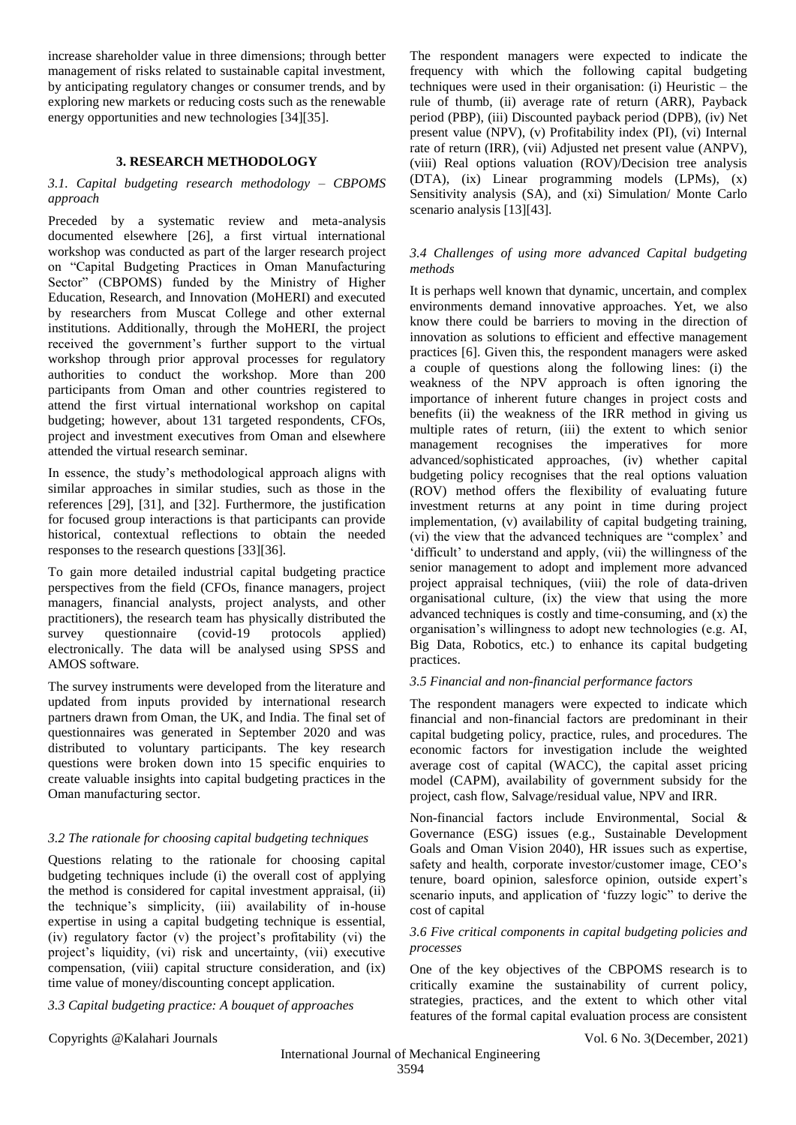increase shareholder value in three dimensions; through better management of risks related to sustainable capital investment, by anticipating regulatory changes or consumer trends, and by exploring new markets or reducing costs such as the renewable energy opportunities and new technologies [34][35].

# **3. RESEARCH METHODOLOGY**

# *3.1. Capital budgeting research methodology – CBPOMS approach*

Preceded by a systematic review and meta-analysis documented elsewhere [26], a first virtual international workshop was conducted as part of the larger research project on "Capital Budgeting Practices in Oman Manufacturing Sector" (CBPOMS) funded by the Ministry of Higher Education, Research, and Innovation (MoHERI) and executed by researchers from Muscat College and other external institutions. Additionally, through the MoHERI, the project received the government's further support to the virtual workshop through prior approval processes for regulatory authorities to conduct the workshop. More than 200 participants from Oman and other countries registered to attend the first virtual international workshop on capital budgeting; however, about 131 targeted respondents, CFOs, project and investment executives from Oman and elsewhere attended the virtual research seminar.

In essence, the study's methodological approach aligns with similar approaches in similar studies, such as those in the references [29], [31], and [32]. Furthermore, the justification for focused group interactions is that participants can provide historical, contextual reflections to obtain the needed responses to the research questions [33][36].

To gain more detailed industrial capital budgeting practice perspectives from the field (CFOs, finance managers, project managers, financial analysts, project analysts, and other practitioners), the research team has physically distributed the survey questionnaire (covid-19 protocols applied) electronically. The data will be analysed using SPSS and AMOS software.

The survey instruments were developed from the literature and updated from inputs provided by international research partners drawn from Oman, the UK, and India. The final set of questionnaires was generated in September 2020 and was distributed to voluntary participants. The key research questions were broken down into 15 specific enquiries to create valuable insights into capital budgeting practices in the Oman manufacturing sector.

# *3.2 The rationale for choosing capital budgeting techniques*

Questions relating to the rationale for choosing capital budgeting techniques include (i) the overall cost of applying the method is considered for capital investment appraisal, (ii) the technique's simplicity, (iii) availability of in-house expertise in using a capital budgeting technique is essential, (iv) regulatory factor (v) the project's profitability (vi) the project's liquidity, (vi) risk and uncertainty, (vii) executive compensation, (viii) capital structure consideration, and (ix) time value of money/discounting concept application.

*3.3 Capital budgeting practice: A bouquet of approaches*

The respondent managers were expected to indicate the frequency with which the following capital budgeting techniques were used in their organisation: (i) Heuristic  $-$  the rule of thumb, (ii) average rate of return (ARR), Payback period (PBP), (iii) Discounted payback period (DPB), (iv) Net present value (NPV), (v) Profitability index (PI), (vi) Internal rate of return (IRR), (vii) Adjusted net present value (ANPV), (viii) Real options valuation (ROV)/Decision tree analysis (DTA), (ix) Linear programming models (LPMs), (x) Sensitivity analysis (SA), and (xi) Simulation/ Monte Carlo scenario analysis [13][43].

# *3.4 Challenges of using more advanced Capital budgeting methods*

It is perhaps well known that dynamic, uncertain, and complex environments demand innovative approaches. Yet, we also know there could be barriers to moving in the direction of innovation as solutions to efficient and effective management practices [6]. Given this, the respondent managers were asked a couple of questions along the following lines: (i) the weakness of the NPV approach is often ignoring the importance of inherent future changes in project costs and benefits (ii) the weakness of the IRR method in giving us multiple rates of return, (iii) the extent to which senior management recognises the imperatives for more advanced/sophisticated approaches, (iv) whether capital budgeting policy recognises that the real options valuation (ROV) method offers the flexibility of evaluating future investment returns at any point in time during project implementation, (v) availability of capital budgeting training, (vi) the view that the advanced techniques are "complex' and 'difficult' to understand and apply, (vii) the willingness of the senior management to adopt and implement more advanced project appraisal techniques, (viii) the role of data-driven organisational culture, (ix) the view that using the more advanced techniques is costly and time-consuming, and (x) the organisation's willingness to adopt new technologies (e.g. AI, Big Data, Robotics, etc.) to enhance its capital budgeting practices.

# *3.5 Financial and non-financial performance factors*

The respondent managers were expected to indicate which financial and non-financial factors are predominant in their capital budgeting policy, practice, rules, and procedures. The economic factors for investigation include the weighted average cost of capital (WACC), the capital asset pricing model (CAPM), availability of government subsidy for the project, cash flow, Salvage/residual value, NPV and IRR.

Non-financial factors include Environmental, Social & Governance (ESG) issues (e.g., Sustainable Development Goals and Oman Vision 2040), HR issues such as expertise, safety and health, corporate investor/customer image, CEO's tenure, board opinion, salesforce opinion, outside expert's scenario inputs, and application of 'fuzzy logic" to derive the cost of capital

## *3.6 Five critical components in capital budgeting policies and processes*

One of the key objectives of the CBPOMS research is to critically examine the sustainability of current policy, strategies, practices, and the extent to which other vital features of the formal capital evaluation process are consistent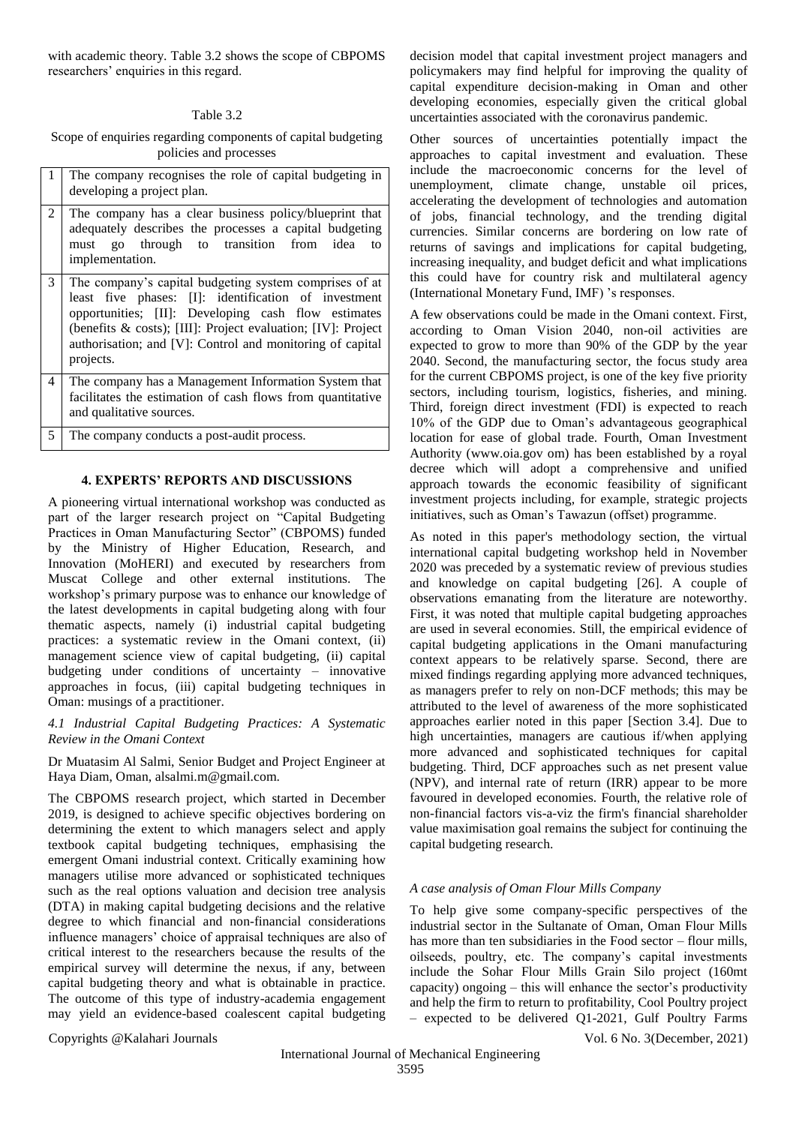with academic theory. Table 3.2 shows the scope of CBPOMS researchers' enquiries in this regard.

# Table 3.2

Scope of enquiries regarding components of capital budgeting policies and processes

| 1 The company recognises the role of capital budgeting in |
|-----------------------------------------------------------|
| developing a project plan.                                |

- 2 The company has a clear business policy/blueprint that adequately describes the processes a capital budgeting must go through to transition from idea to implementation.
- 3 The company's capital budgeting system comprises of at least five phases: [I]: identification of investment opportunities; [II]: Developing cash flow estimates (benefits & costs); [III]: Project evaluation; [IV]: Project authorisation; and [V]: Control and monitoring of capital projects.
- 4 The company has a Management Information System that facilitates the estimation of cash flows from quantitative and qualitative sources.

5 The company conducts a post-audit process.

## **4. EXPERTS' REPORTS AND DISCUSSIONS**

A pioneering virtual international workshop was conducted as part of the larger research project on "Capital Budgeting Practices in Oman Manufacturing Sector" (CBPOMS) funded by the Ministry of Higher Education, Research, and Innovation (MoHERI) and executed by researchers from Muscat College and other external institutions. The workshop's primary purpose was to enhance our knowledge of the latest developments in capital budgeting along with four thematic aspects, namely (i) industrial capital budgeting practices: a systematic review in the Omani context, (ii) management science view of capital budgeting, (ii) capital budgeting under conditions of uncertainty – innovative approaches in focus, (iii) capital budgeting techniques in Oman: musings of a practitioner.

# *4.1 Industrial Capital Budgeting Practices: A Systematic Review in the Omani Context*

Dr Muatasim Al Salmi, Senior Budget and Project Engineer at Haya Diam, Oman, alsalmi.m@gmail.com.

The CBPOMS research project, which started in December 2019, is designed to achieve specific objectives bordering on determining the extent to which managers select and apply textbook capital budgeting techniques, emphasising the emergent Omani industrial context. Critically examining how managers utilise more advanced or sophisticated techniques such as the real options valuation and decision tree analysis (DTA) in making capital budgeting decisions and the relative degree to which financial and non-financial considerations influence managers' choice of appraisal techniques are also of critical interest to the researchers because the results of the empirical survey will determine the nexus, if any, between capital budgeting theory and what is obtainable in practice. The outcome of this type of industry-academia engagement may yield an evidence-based coalescent capital budgeting

decision model that capital investment project managers and policymakers may find helpful for improving the quality of capital expenditure decision-making in Oman and other developing economies, especially given the critical global uncertainties associated with the coronavirus pandemic.

Other sources of uncertainties potentially impact the approaches to capital investment and evaluation. These include the macroeconomic concerns for the level of unemployment, climate change, unstable oil prices, accelerating the development of technologies and automation of jobs, financial technology, and the trending digital currencies. Similar concerns are bordering on low rate of returns of savings and implications for capital budgeting, increasing inequality, and budget deficit and what implications this could have for country risk and multilateral agency (International Monetary Fund, IMF) 's responses.

A few observations could be made in the Omani context. First, according to Oman Vision 2040, non-oil activities are expected to grow to more than 90% of the GDP by the year 2040. Second, the manufacturing sector, the focus study area for the current CBPOMS project, is one of the key five priority sectors, including tourism, logistics, fisheries, and mining. Third, foreign direct investment (FDI) is expected to reach 10% of the GDP due to Oman's advantageous geographical location for ease of global trade. Fourth, Oman Investment Authority (www.oia.gov om) has been established by a royal decree which will adopt a comprehensive and unified approach towards the economic feasibility of significant investment projects including, for example, strategic projects initiatives, such as Oman's Tawazun (offset) programme.

As noted in this paper's methodology section, the virtual international capital budgeting workshop held in November 2020 was preceded by a systematic review of previous studies and knowledge on capital budgeting [26]. A couple of observations emanating from the literature are noteworthy. First, it was noted that multiple capital budgeting approaches are used in several economies. Still, the empirical evidence of capital budgeting applications in the Omani manufacturing context appears to be relatively sparse. Second, there are mixed findings regarding applying more advanced techniques, as managers prefer to rely on non-DCF methods; this may be attributed to the level of awareness of the more sophisticated approaches earlier noted in this paper [Section 3.4]. Due to high uncertainties, managers are cautious if/when applying more advanced and sophisticated techniques for capital budgeting. Third, DCF approaches such as net present value (NPV), and internal rate of return (IRR) appear to be more favoured in developed economies. Fourth, the relative role of non-financial factors vis-a-viz the firm's financial shareholder value maximisation goal remains the subject for continuing the capital budgeting research.

## *A case analysis of Oman Flour Mills Company*

To help give some company-specific perspectives of the industrial sector in the Sultanate of Oman, Oman Flour Mills has more than ten subsidiaries in the Food sector – flour mills, oilseeds, poultry, etc. The company's capital investments include the Sohar Flour Mills Grain Silo project (160mt capacity) ongoing  $-$  this will enhance the sector's productivity and help the firm to return to profitability, Cool Poultry project – expected to be delivered Q1-2021, Gulf Poultry Farms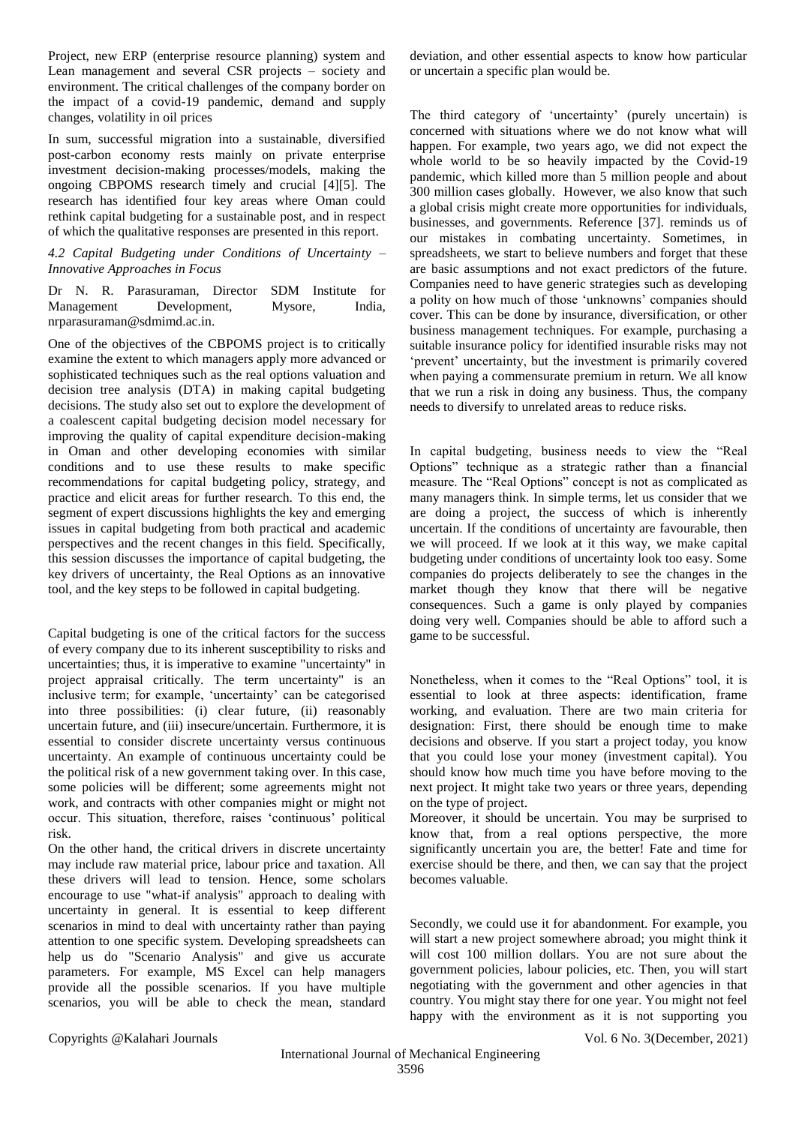Project, new ERP (enterprise resource planning) system and Lean management and several CSR projects – society and environment. The critical challenges of the company border on the impact of a covid-19 pandemic, demand and supply changes, volatility in oil prices

In sum, successful migration into a sustainable, diversified post-carbon economy rests mainly on private enterprise investment decision-making processes/models, making the ongoing CBPOMS research timely and crucial [4][5]. The research has identified four key areas where Oman could rethink capital budgeting for a sustainable post, and in respect of which the qualitative responses are presented in this report.

# *4.2 Capital Budgeting under Conditions of Uncertainty – Innovative Approaches in Focus*

Dr N. R. Parasuraman, Director SDM Institute for Management Development, Mysore, India, nrparasuraman@sdmimd.ac.in.

One of the objectives of the CBPOMS project is to critically examine the extent to which managers apply more advanced or sophisticated techniques such as the real options valuation and decision tree analysis (DTA) in making capital budgeting decisions. The study also set out to explore the development of a coalescent capital budgeting decision model necessary for improving the quality of capital expenditure decision-making in Oman and other developing economies with similar conditions and to use these results to make specific recommendations for capital budgeting policy, strategy, and practice and elicit areas for further research. To this end, the segment of expert discussions highlights the key and emerging issues in capital budgeting from both practical and academic perspectives and the recent changes in this field. Specifically, this session discusses the importance of capital budgeting, the key drivers of uncertainty, the Real Options as an innovative tool, and the key steps to be followed in capital budgeting.

Capital budgeting is one of the critical factors for the success of every company due to its inherent susceptibility to risks and uncertainties; thus, it is imperative to examine "uncertainty" in project appraisal critically. The term uncertainty" is an inclusive term; for example, 'uncertainty' can be categorised into three possibilities: (i) clear future, (ii) reasonably uncertain future, and (iii) insecure/uncertain. Furthermore, it is essential to consider discrete uncertainty versus continuous uncertainty. An example of continuous uncertainty could be the political risk of a new government taking over. In this case, some policies will be different; some agreements might not work, and contracts with other companies might or might not occur. This situation, therefore, raises 'continuous' political risk.

On the other hand, the critical drivers in discrete uncertainty may include raw material price, labour price and taxation. All these drivers will lead to tension. Hence, some scholars encourage to use "what-if analysis" approach to dealing with uncertainty in general. It is essential to keep different scenarios in mind to deal with uncertainty rather than paying attention to one specific system. Developing spreadsheets can help us do "Scenario Analysis" and give us accurate parameters. For example, MS Excel can help managers provide all the possible scenarios. If you have multiple scenarios, you will be able to check the mean, standard

deviation, and other essential aspects to know how particular or uncertain a specific plan would be.

The third category of 'uncertainty' (purely uncertain) is concerned with situations where we do not know what will happen. For example, two years ago, we did not expect the whole world to be so heavily impacted by the Covid-19 pandemic, which killed more than 5 million people and about 300 million cases globally. However, we also know that such a global crisis might create more opportunities for individuals, businesses, and governments. Reference [37]. reminds us of our mistakes in combating uncertainty. Sometimes, in spreadsheets, we start to believe numbers and forget that these are basic assumptions and not exact predictors of the future. Companies need to have generic strategies such as developing a polity on how much of those 'unknowns' companies should cover. This can be done by insurance, diversification, or other business management techniques. For example, purchasing a suitable insurance policy for identified insurable risks may not 'prevent' uncertainty, but the investment is primarily covered when paying a commensurate premium in return. We all know that we run a risk in doing any business. Thus, the company needs to diversify to unrelated areas to reduce risks.

In capital budgeting, business needs to view the "Real Options" technique as a strategic rather than a financial measure. The "Real Options" concept is not as complicated as many managers think. In simple terms, let us consider that we are doing a project, the success of which is inherently uncertain. If the conditions of uncertainty are favourable, then we will proceed. If we look at it this way, we make capital budgeting under conditions of uncertainty look too easy. Some companies do projects deliberately to see the changes in the market though they know that there will be negative consequences. Such a game is only played by companies doing very well. Companies should be able to afford such a game to be successful.

Nonetheless, when it comes to the "Real Options" tool, it is essential to look at three aspects: identification, frame working, and evaluation. There are two main criteria for designation: First, there should be enough time to make decisions and observe. If you start a project today, you know that you could lose your money (investment capital). You should know how much time you have before moving to the next project. It might take two years or three years, depending on the type of project.

Moreover, it should be uncertain. You may be surprised to know that, from a real options perspective, the more significantly uncertain you are, the better! Fate and time for exercise should be there, and then, we can say that the project becomes valuable.

Secondly, we could use it for abandonment. For example, you will start a new project somewhere abroad; you might think it will cost 100 million dollars. You are not sure about the government policies, labour policies, etc. Then, you will start negotiating with the government and other agencies in that country. You might stay there for one year. You might not feel happy with the environment as it is not supporting you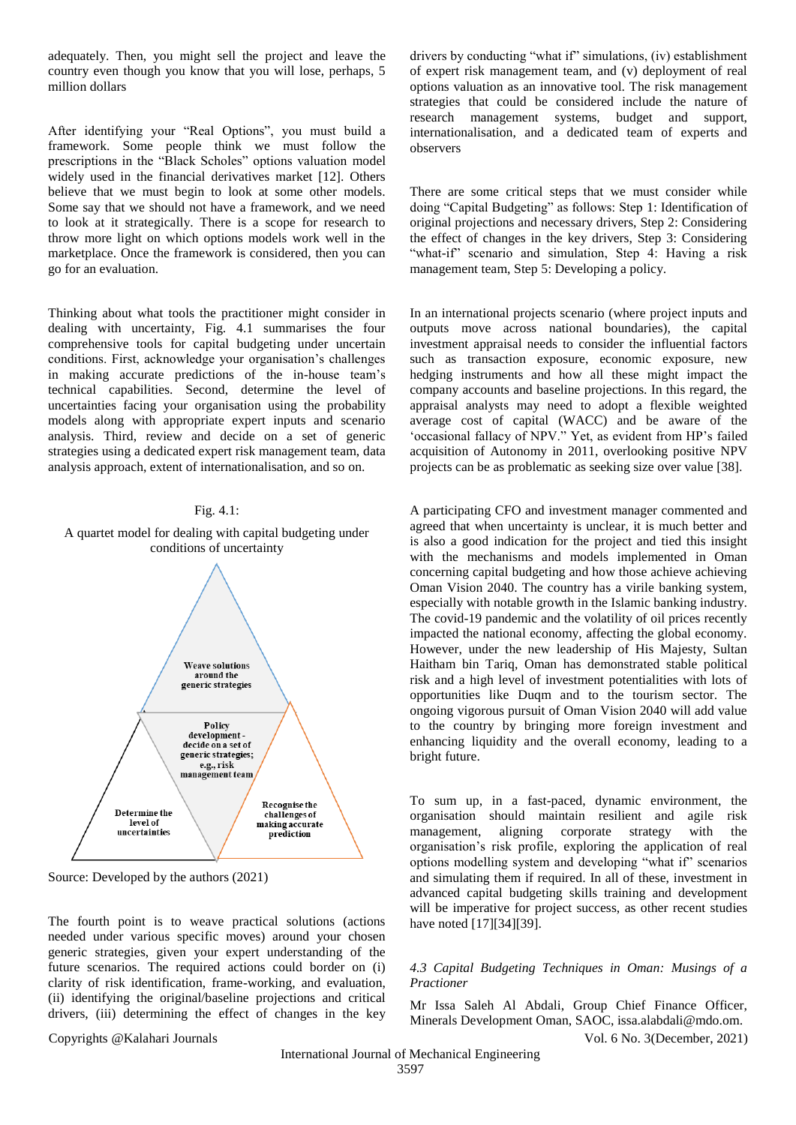adequately. Then, you might sell the project and leave the country even though you know that you will lose, perhaps, 5 million dollars

After identifying your "Real Options", you must build a framework. Some people think we must follow the prescriptions in the "Black Scholes" options valuation model widely used in the financial derivatives market [12]. Others believe that we must begin to look at some other models. Some say that we should not have a framework, and we need to look at it strategically. There is a scope for research to throw more light on which options models work well in the marketplace. Once the framework is considered, then you can go for an evaluation.

Thinking about what tools the practitioner might consider in dealing with uncertainty, Fig. 4.1 summarises the four comprehensive tools for capital budgeting under uncertain conditions. First, acknowledge your organisation's challenges in making accurate predictions of the in-house team's technical capabilities. Second, determine the level of uncertainties facing your organisation using the probability models along with appropriate expert inputs and scenario analysis. Third, review and decide on a set of generic strategies using a dedicated expert risk management team, data analysis approach, extent of internationalisation, and so on.

#### Fig. 4.1:





Source: Developed by the authors (2021)

The fourth point is to weave practical solutions (actions needed under various specific moves) around your chosen generic strategies, given your expert understanding of the future scenarios. The required actions could border on (i) clarity of risk identification, frame-working, and evaluation, (ii) identifying the original/baseline projections and critical drivers, (iii) determining the effect of changes in the key

Copyrights @Kalahari Journals Vol. 6 No. 3(December, 2021)

drivers by conducting "what if" simulations, (iv) establishment of expert risk management team, and (v) deployment of real options valuation as an innovative tool. The risk management strategies that could be considered include the nature of research management systems, budget and support, internationalisation, and a dedicated team of experts and observers

There are some critical steps that we must consider while doing "Capital Budgeting" as follows: Step 1: Identification of original projections and necessary drivers, Step 2: Considering the effect of changes in the key drivers, Step 3: Considering "what-if" scenario and simulation, Step 4: Having a risk management team, Step 5: Developing a policy.

In an international projects scenario (where project inputs and outputs move across national boundaries), the capital investment appraisal needs to consider the influential factors such as transaction exposure, economic exposure, new hedging instruments and how all these might impact the company accounts and baseline projections. In this regard, the appraisal analysts may need to adopt a flexible weighted average cost of capital (WACC) and be aware of the 'occasional fallacy of NPV." Yet, as evident from HP's failed acquisition of Autonomy in 2011, overlooking positive NPV projects can be as problematic as seeking size over value [38].

A participating CFO and investment manager commented and agreed that when uncertainty is unclear, it is much better and is also a good indication for the project and tied this insight with the mechanisms and models implemented in Oman concerning capital budgeting and how those achieve achieving Oman Vision 2040. The country has a virile banking system, especially with notable growth in the Islamic banking industry. The covid-19 pandemic and the volatility of oil prices recently impacted the national economy, affecting the global economy. However, under the new leadership of His Majesty, Sultan Haitham bin Tariq, Oman has demonstrated stable political risk and a high level of investment potentialities with lots of opportunities like Duqm and to the tourism sector. The ongoing vigorous pursuit of Oman Vision 2040 will add value to the country by bringing more foreign investment and enhancing liquidity and the overall economy, leading to a bright future.

To sum up, in a fast-paced, dynamic environment, the organisation should maintain resilient and agile risk management, aligning corporate strategy with the organisation's risk profile, exploring the application of real options modelling system and developing "what if" scenarios and simulating them if required. In all of these, investment in advanced capital budgeting skills training and development will be imperative for project success, as other recent studies have noted [17][34][39].

## *4.3 Capital Budgeting Techniques in Oman: Musings of a Practioner*

Mr Issa Saleh Al Abdali, Group Chief Finance Officer, Minerals Development Oman, SAOC, issa.alabdali@mdo.om.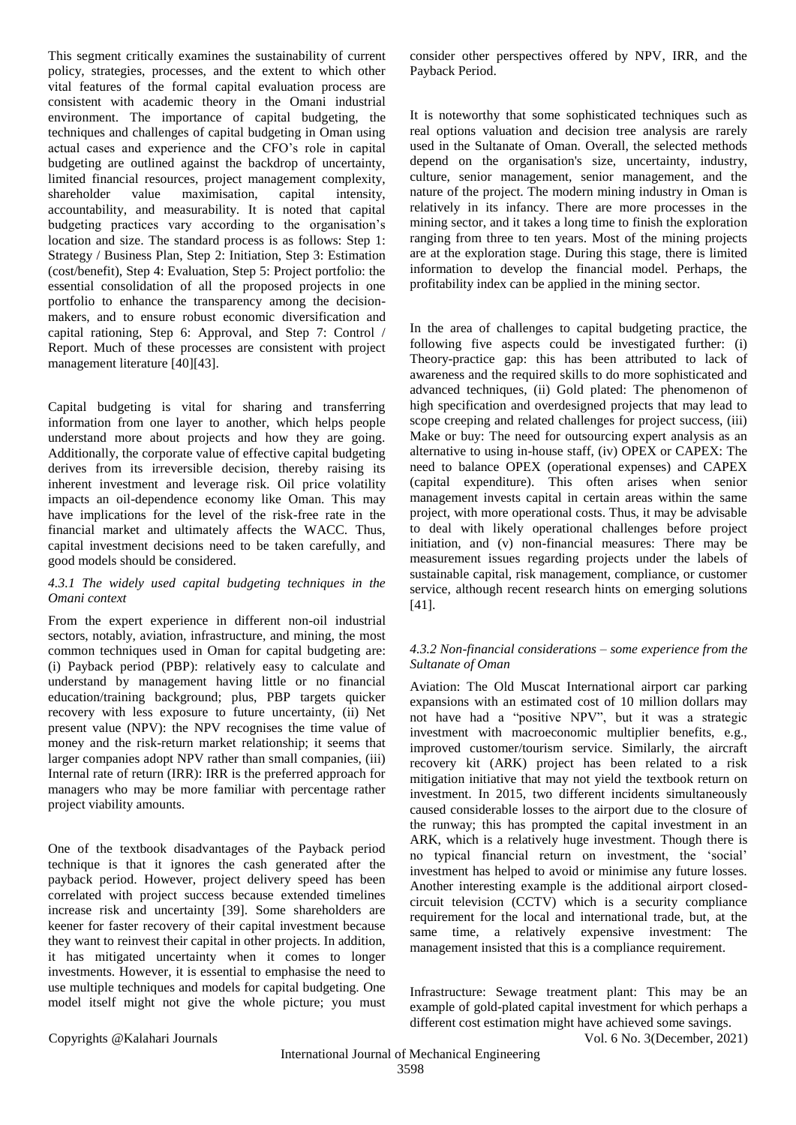This segment critically examines the sustainability of current policy, strategies, processes, and the extent to which other vital features of the formal capital evaluation process are consistent with academic theory in the Omani industrial environment. The importance of capital budgeting, the techniques and challenges of capital budgeting in Oman using actual cases and experience and the CFO's role in capital budgeting are outlined against the backdrop of uncertainty, limited financial resources, project management complexity, shareholder value maximisation, capital intensity, accountability, and measurability. It is noted that capital budgeting practices vary according to the organisation's location and size. The standard process is as follows: Step 1: Strategy / Business Plan, Step 2: Initiation, Step 3: Estimation (cost/benefit), Step 4: Evaluation, Step 5: Project portfolio: the essential consolidation of all the proposed projects in one portfolio to enhance the transparency among the decisionmakers, and to ensure robust economic diversification and capital rationing, Step 6: Approval, and Step 7: Control / Report. Much of these processes are consistent with project management literature [40][43].

Capital budgeting is vital for sharing and transferring information from one layer to another, which helps people understand more about projects and how they are going. Additionally, the corporate value of effective capital budgeting derives from its irreversible decision, thereby raising its inherent investment and leverage risk. Oil price volatility impacts an oil-dependence economy like Oman. This may have implications for the level of the risk-free rate in the financial market and ultimately affects the WACC. Thus, capital investment decisions need to be taken carefully, and good models should be considered.

# *4.3.1 The widely used capital budgeting techniques in the Omani context*

From the expert experience in different non-oil industrial sectors, notably, aviation, infrastructure, and mining, the most common techniques used in Oman for capital budgeting are: (i) Payback period (PBP): relatively easy to calculate and understand by management having little or no financial education/training background; plus, PBP targets quicker recovery with less exposure to future uncertainty, (ii) Net present value (NPV): the NPV recognises the time value of money and the risk-return market relationship; it seems that larger companies adopt NPV rather than small companies, (iii) Internal rate of return (IRR): IRR is the preferred approach for managers who may be more familiar with percentage rather project viability amounts.

One of the textbook disadvantages of the Payback period technique is that it ignores the cash generated after the payback period. However, project delivery speed has been correlated with project success because extended timelines increase risk and uncertainty [39]. Some shareholders are keener for faster recovery of their capital investment because they want to reinvest their capital in other projects. In addition, it has mitigated uncertainty when it comes to longer investments. However, it is essential to emphasise the need to use multiple techniques and models for capital budgeting. One model itself might not give the whole picture; you must

consider other perspectives offered by NPV, IRR, and the Payback Period.

It is noteworthy that some sophisticated techniques such as real options valuation and decision tree analysis are rarely used in the Sultanate of Oman. Overall, the selected methods depend on the organisation's size, uncertainty, industry, culture, senior management, senior management, and the nature of the project. The modern mining industry in Oman is relatively in its infancy. There are more processes in the mining sector, and it takes a long time to finish the exploration ranging from three to ten years. Most of the mining projects are at the exploration stage. During this stage, there is limited information to develop the financial model. Perhaps, the profitability index can be applied in the mining sector.

In the area of challenges to capital budgeting practice, the following five aspects could be investigated further: (i) Theory-practice gap: this has been attributed to lack of awareness and the required skills to do more sophisticated and advanced techniques, (ii) Gold plated: The phenomenon of high specification and overdesigned projects that may lead to scope creeping and related challenges for project success, (iii) Make or buy: The need for outsourcing expert analysis as an alternative to using in-house staff, (iv) OPEX or CAPEX: The need to balance OPEX (operational expenses) and CAPEX (capital expenditure). This often arises when senior management invests capital in certain areas within the same project, with more operational costs. Thus, it may be advisable to deal with likely operational challenges before project initiation, and (v) non-financial measures: There may be measurement issues regarding projects under the labels of sustainable capital, risk management, compliance, or customer service, although recent research hints on emerging solutions [41].

# *4.3.2 Non-financial considerations – some experience from the Sultanate of Oman*

Aviation: The Old Muscat International airport car parking expansions with an estimated cost of 10 million dollars may not have had a "positive NPV", but it was a strategic investment with macroeconomic multiplier benefits, e.g., improved customer/tourism service. Similarly, the aircraft recovery kit (ARK) project has been related to a risk mitigation initiative that may not yield the textbook return on investment. In 2015, two different incidents simultaneously caused considerable losses to the airport due to the closure of the runway; this has prompted the capital investment in an ARK, which is a relatively huge investment. Though there is no typical financial return on investment, the 'social' investment has helped to avoid or minimise any future losses. Another interesting example is the additional airport closedcircuit television (CCTV) which is a security compliance requirement for the local and international trade, but, at the same time, a relatively expensive investment: The management insisted that this is a compliance requirement.

Infrastructure: Sewage treatment plant: This may be an example of gold-plated capital investment for which perhaps a different cost estimation might have achieved some savings.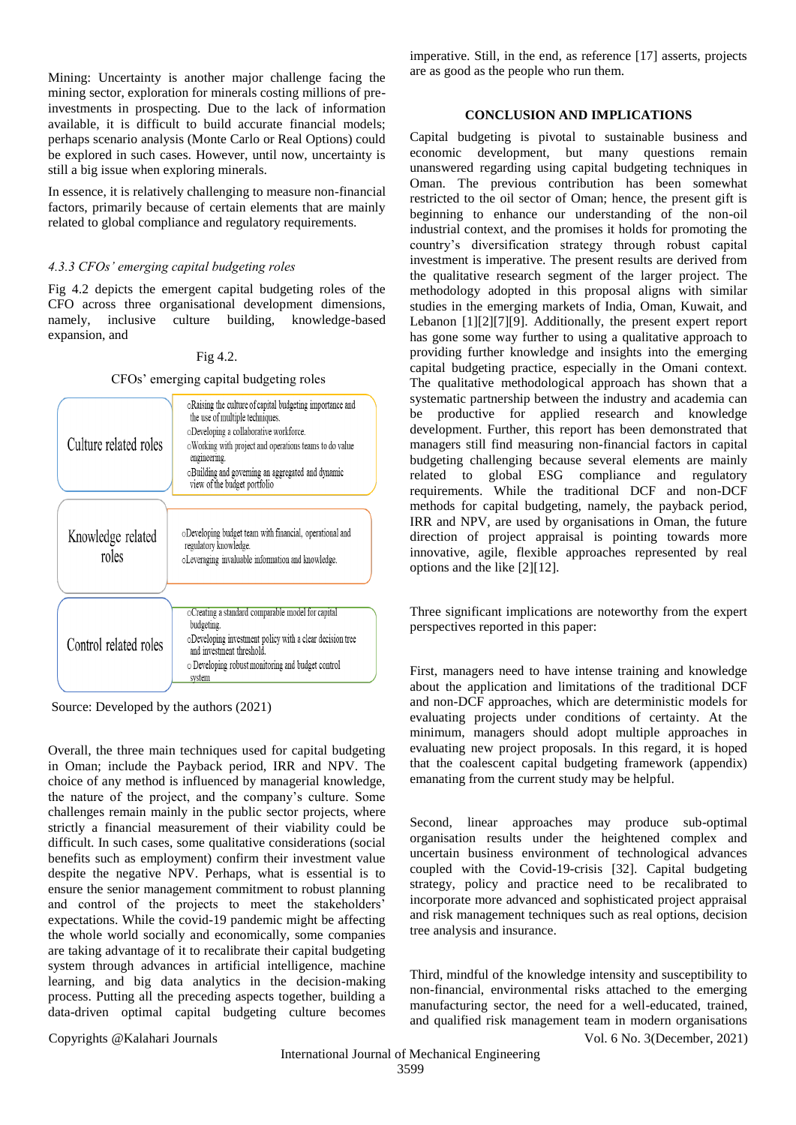Mining: Uncertainty is another major challenge facing the mining sector, exploration for minerals costing millions of preinvestments in prospecting. Due to the lack of information available, it is difficult to build accurate financial models; perhaps scenario analysis (Monte Carlo or Real Options) could be explored in such cases. However, until now, uncertainty is still a big issue when exploring minerals.

In essence, it is relatively challenging to measure non-financial factors, primarily because of certain elements that are mainly related to global compliance and regulatory requirements.

## *4.3.3 CFOs' emerging capital budgeting roles*

Fig 4.2 depicts the emergent capital budgeting roles of the CFO across three organisational development dimensions, namely, inclusive culture building, knowledge-based expansion, and

# Fig 4.2.

CFOs' emerging capital budgeting roles

| Culture related roles      | oRaising the culture of capital budgeting importance and<br>the use of multiple techniques.<br>oDeveloping a collaborative workforce.<br>o Working with project and operations teams to do value<br>engineering.<br>oBuilding and governing an aggregated and dynamic<br>view of the budget portfolio |  |  |
|----------------------------|-------------------------------------------------------------------------------------------------------------------------------------------------------------------------------------------------------------------------------------------------------------------------------------------------------|--|--|
|                            |                                                                                                                                                                                                                                                                                                       |  |  |
| Knowledge related<br>roles | oDeveloping budget team with financial, operational and<br>regulatory knowledge.<br>oLeveraging invaluable information and knowledge.                                                                                                                                                                 |  |  |
|                            |                                                                                                                                                                                                                                                                                                       |  |  |
| Control related roles      | oCreating a standard comparable model for capital<br>budgeting.<br>oDeveloping investment policy with a clear decision tree<br>and investment threshold.<br>o Developing robust monitoring and budget control<br>system                                                                               |  |  |

Source: Developed by the authors (2021)

Overall, the three main techniques used for capital budgeting in Oman; include the Payback period, IRR and NPV. The choice of any method is influenced by managerial knowledge, the nature of the project, and the company's culture. Some challenges remain mainly in the public sector projects, where strictly a financial measurement of their viability could be difficult. In such cases, some qualitative considerations (social benefits such as employment) confirm their investment value despite the negative NPV. Perhaps, what is essential is to ensure the senior management commitment to robust planning and control of the projects to meet the stakeholders' expectations. While the covid-19 pandemic might be affecting the whole world socially and economically, some companies are taking advantage of it to recalibrate their capital budgeting system through advances in artificial intelligence, machine learning, and big data analytics in the decision-making process. Putting all the preceding aspects together, building a data-driven optimal capital budgeting culture becomes

imperative. Still, in the end, as reference [17] asserts, projects are as good as the people who run them.

# **CONCLUSION AND IMPLICATIONS**

Capital budgeting is pivotal to sustainable business and economic development, but many questions remain unanswered regarding using capital budgeting techniques in Oman. The previous contribution has been somewhat restricted to the oil sector of Oman; hence, the present gift is beginning to enhance our understanding of the non-oil industrial context, and the promises it holds for promoting the country's diversification strategy through robust capital investment is imperative. The present results are derived from the qualitative research segment of the larger project. The methodology adopted in this proposal aligns with similar studies in the emerging markets of India, Oman, Kuwait, and Lebanon [1][2][7][9]. Additionally, the present expert report has gone some way further to using a qualitative approach to providing further knowledge and insights into the emerging capital budgeting practice, especially in the Omani context. The qualitative methodological approach has shown that a systematic partnership between the industry and academia can be productive for applied research and knowledge development. Further, this report has been demonstrated that managers still find measuring non-financial factors in capital budgeting challenging because several elements are mainly related to global ESG compliance and regulatory requirements. While the traditional DCF and non-DCF methods for capital budgeting, namely, the payback period, IRR and NPV, are used by organisations in Oman, the future direction of project appraisal is pointing towards more innovative, agile, flexible approaches represented by real options and the like [2][12].

Three significant implications are noteworthy from the expert perspectives reported in this paper:

First, managers need to have intense training and knowledge about the application and limitations of the traditional DCF and non-DCF approaches, which are deterministic models for evaluating projects under conditions of certainty. At the minimum, managers should adopt multiple approaches in evaluating new project proposals. In this regard, it is hoped that the coalescent capital budgeting framework (appendix) emanating from the current study may be helpful.

Second, linear approaches may produce sub-optimal organisation results under the heightened complex and uncertain business environment of technological advances coupled with the Covid-19-crisis [32]. Capital budgeting strategy, policy and practice need to be recalibrated to incorporate more advanced and sophisticated project appraisal and risk management techniques such as real options, decision tree analysis and insurance.

Third, mindful of the knowledge intensity and susceptibility to non-financial, environmental risks attached to the emerging manufacturing sector, the need for a well-educated, trained, and qualified risk management team in modern organisations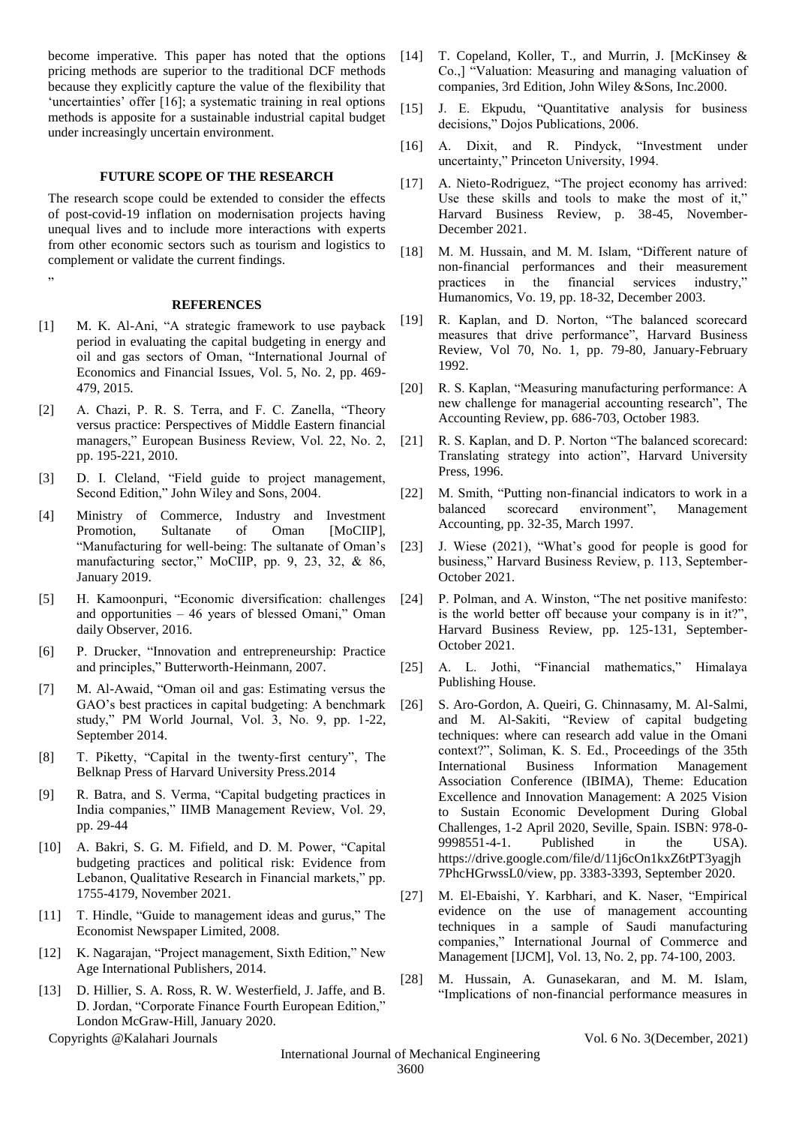become imperative. This paper has noted that the options pricing methods are superior to the traditional DCF methods because they explicitly capture the value of the flexibility that 'uncertainties' offer [16]; a systematic training in real options methods is apposite for a sustainable industrial capital budget under increasingly uncertain environment.

# **FUTURE SCOPE OF THE RESEARCH**

The research scope could be extended to consider the effects of post-covid-19 inflation on modernisation projects having unequal lives and to include more interactions with experts from other economic sectors such as tourism and logistics to complement or validate the current findings.

#### **REFERENCES**

"

- [1] M. K. Al-Ani, "A strategic framework to use payback period in evaluating the capital budgeting in energy and oil and gas sectors of Oman, "International Journal of Economics and Financial Issues, Vol. 5, No. 2, pp. 469- 479, 2015.
- [2] A. Chazi, P. R. S. Terra, and F. C. Zanella, "Theory versus practice: Perspectives of Middle Eastern financial managers," European Business Review, Vol. 22, No. 2, pp. 195-221, 2010.
- [3] D. I. Cleland, "Field guide to project management, Second Edition," John Wiley and Sons, 2004.
- [4] Ministry of Commerce, Industry and Investment Promotion, Sultanate of Oman [MoCIIP], "Manufacturing for well-being: The sultanate of Oman's manufacturing sector," MoCIIP, pp. 9, 23, 32, & 86, January 2019.
- [5] H. Kamoonpuri, "Economic diversification: challenges and opportunities – 46 years of blessed Omani," Oman daily Observer, 2016.
- [6] P. Drucker, "Innovation and entrepreneurship: Practice and principles," Butterworth-Heinmann, 2007.
- [7] M. Al-Awaid, "Oman oil and gas: Estimating versus the GAO's best practices in capital budgeting: A benchmark study," PM World Journal, Vol. 3, No. 9, pp. 1-22, September 2014.
- [8] T. Piketty, "Capital in the twenty-first century", The Belknap Press of Harvard University Press.2014
- [9] R. Batra, and S. Verma, "Capital budgeting practices in India companies," IIMB Management Review, Vol. 29, pp. 29-44
- [10] A. Bakri, S. G. M. Fifield, and D. M. Power, "Capital budgeting practices and political risk: Evidence from Lebanon, Qualitative Research in Financial markets," pp. 1755-4179, November 2021.
- [11] T. Hindle, "Guide to management ideas and gurus," The Economist Newspaper Limited, 2008.
- [12] K. Nagarajan, "Project management, Sixth Edition," New Age International Publishers, 2014.
- [13] D. Hillier, S. A. Ross, R. W. Westerfield, J. Jaffe, and B. D. Jordan, "Corporate Finance Fourth European Edition," London McGraw-Hill, January 2020.

- [14] T. Copeland, Koller, T., and Murrin, J. [McKinsey & Co.,] "Valuation: Measuring and managing valuation of companies, 3rd Edition, John Wiley &Sons, Inc.2000.
- [15] J. E. Ekpudu, "Quantitative analysis for business decisions," Dojos Publications, 2006.
- [16] A. Dixit, and R. Pindyck, "Investment under uncertainty," Princeton University, 1994.
- [17] A. Nieto-Rodriguez, "The project economy has arrived: Use these skills and tools to make the most of it," Harvard Business Review, p. 38-45, November-December 2021.
- [18] M. M. Hussain, and M. M. Islam, "Different nature of non-financial performances and their measurement practices in the financial services industry," Humanomics, Vo. 19, pp. 18-32, December 2003.
- [19] R. Kaplan, and D. Norton, "The balanced scorecard measures that drive performance", Harvard Business Review, Vol 70, No. 1, pp. 79-80, January-February 1992.
- [20] R. S. Kaplan, "Measuring manufacturing performance: A new challenge for managerial accounting research", The Accounting Review, pp. 686-703, October 1983.
- [21] R. S. Kaplan, and D. P. Norton "The balanced scorecard: Translating strategy into action", Harvard University Press, 1996.
- [22] M. Smith, "Putting non-financial indicators to work in a balanced scorecard environment", Management Accounting, pp. 32-35, March 1997.
- [23] J. Wiese (2021), "What's good for people is good for business," Harvard Business Review, p. 113, September-October 2021.
- [24] P. Polman, and A. Winston, "The net positive manifesto: is the world better off because your company is in it?", Harvard Business Review, pp. 125-131, September-October 2021.
- [25] A. L. Jothi, "Financial mathematics," Himalaya Publishing House.
- [26] S. Aro-Gordon, A. Queiri, G. Chinnasamy, M. Al-Salmi, and M. Al-Sakiti, "Review of capital budgeting techniques: where can research add value in the Omani context?", Soliman, K. S. Ed., Proceedings of the 35th International Business Information Management Association Conference (IBIMA), Theme: Education Excellence and Innovation Management: A 2025 Vision to Sustain Economic Development During Global Challenges, 1-2 April 2020, Seville, Spain. ISBN: 978-0- 9998551-4-1. Published in the USA). https://drive.google.com/file/d/11j6cOn1kxZ6tPT3yagjh 7PhcHGrwssL0/view, pp. 3383-3393, September 2020.
- [27] M. El-Ebaishi, Y. Karbhari, and K. Naser, "Empirical evidence on the use of management accounting techniques in a sample of Saudi manufacturing companies," International Journal of Commerce and Management [IJCM], Vol. 13, No. 2, pp. 74-100, 2003.
- [28] M. Hussain, A. Gunasekaran, and M. M. Islam, "Implications of non-financial performance measures in